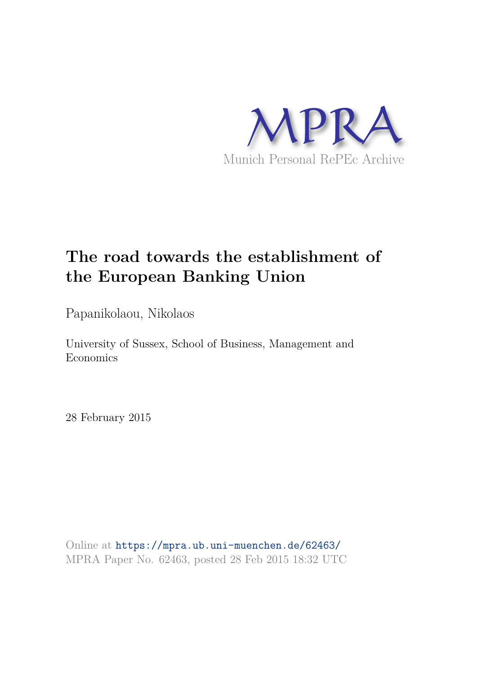

# **The road towards the establishment of the European Banking Union**

Papanikolaou, Nikolaos

University of Sussex, School of Business, Management and Economics

28 February 2015

Online at https://mpra.ub.uni-muenchen.de/62463/ MPRA Paper No. 62463, posted 28 Feb 2015 18:32 UTC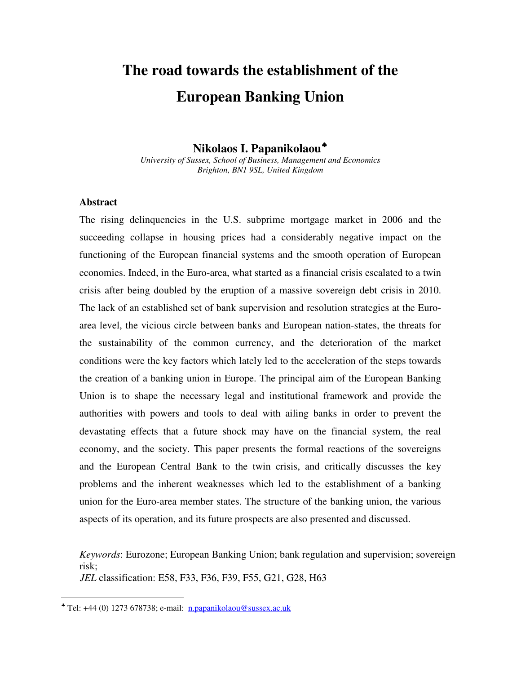# **The road towards the establishment of the European Banking Union**

# **Nikolaos I. Papanikolaou**[♣](#page-1-0)

*University of Sussex, School of Business, Management and Economics Brighton, BN1 9SL, United Kingdom*

## **Abstract**

 $\ddot{\phantom{a}}$ 

The rising delinquencies in the U.S. subprime mortgage market in 2006 and the succeeding collapse in housing prices had a considerably negative impact on the functioning of the European financial systems and the smooth operation of European economies. Indeed, in the Euro-area, what started as a financial crisis escalated to a twin crisis after being doubled by the eruption of a massive sovereign debt crisis in 2010. The lack of an established set of bank supervision and resolution strategies at the Euroarea level, the vicious circle between banks and European nation-states, the threats for the sustainability of the common currency, and the deterioration of the market conditions were the key factors which lately led to the acceleration of the steps towards the creation of a banking union in Europe. The principal aim of the European Banking Union is to shape the necessary legal and institutional framework and provide the authorities with powers and tools to deal with ailing banks in order to prevent the devastating effects that a future shock may have on the financial system, the real economy, and the society. This paper presents the formal reactions of the sovereigns and the European Central Bank to the twin crisis, and critically discusses the key problems and the inherent weaknesses which led to the establishment of a banking union for the Euro-area member states. The structure of the banking union, the various aspects of its operation, and its future prospects are also presented and discussed.

*Keywords*: Eurozone; European Banking Union; bank regulation and supervision; sovereign risk; *JEL* classification: E58, F33, F36, F39, F55, G21, G28, H63

<span id="page-1-0"></span> $*$  Tel: +44 (0) 1273 678738; e-mail: n.papanikolaou@sussex.ac.uk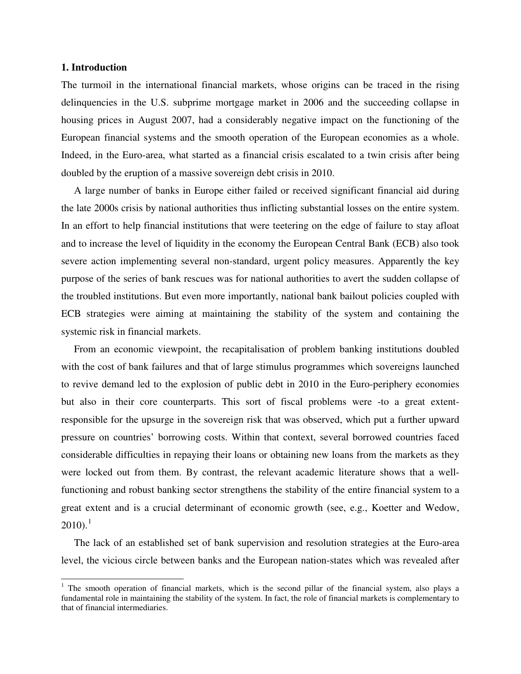### **1. Introduction**

 $\overline{a}$ 

The turmoil in the international financial markets, whose origins can be traced in the rising delinquencies in the U.S. subprime mortgage market in 2006 and the succeeding collapse in housing prices in August 2007, had a considerably negative impact on the functioning of the European financial systems and the smooth operation of the European economies as a whole. Indeed, in the Euro-area, what started as a financial crisis escalated to a twin crisis after being doubled by the eruption of a massive sovereign debt crisis in 2010.

 A large number of banks in Europe either failed or received significant financial aid during the late 2000s crisis by national authorities thus inflicting substantial losses on the entire system. In an effort to help financial institutions that were teetering on the edge of failure to stay afloat and to increase the level of liquidity in the economy the European Central Bank (ECB) also took severe action implementing several non-standard, urgent policy measures. Apparently the key purpose of the series of bank rescues was for national authorities to avert the sudden collapse of the troubled institutions. But even more importantly, national bank bailout policies coupled with ECB strategies were aiming at maintaining the stability of the system and containing the systemic risk in financial markets.

 From an economic viewpoint, the recapitalisation of problem banking institutions doubled with the cost of bank failures and that of large stimulus programmes which sovereigns launched to revive demand led to the explosion of public debt in 2010 in the Euro-periphery economies but also in their core counterparts. This sort of fiscal problems were -to a great extentresponsible for the upsurge in the sovereign risk that was observed, which put a further upward pressure on countries' borrowing costs. Within that context, several borrowed countries faced considerable difficulties in repaying their loans or obtaining new loans from the markets as they were locked out from them. By contrast, the relevant academic literature shows that a wellfunctioning and robust banking sector strengthens the stability of the entire financial system to a great extent and is a crucial determinant of economic growth (see, e.g., Koetter and Wedow,  $2010$  $2010$  $2010$ ).<sup>1</sup>

 The lack of an established set of bank supervision and resolution strategies at the Euro-area level, the vicious circle between banks and the European nation-states which was revealed after

<span id="page-2-0"></span><sup>&</sup>lt;sup>1</sup> The smooth operation of financial markets, which is the second pillar of the financial system, also plays a fundamental role in maintaining the stability of the system. In fact, the role of financial markets is complementary to that of financial intermediaries.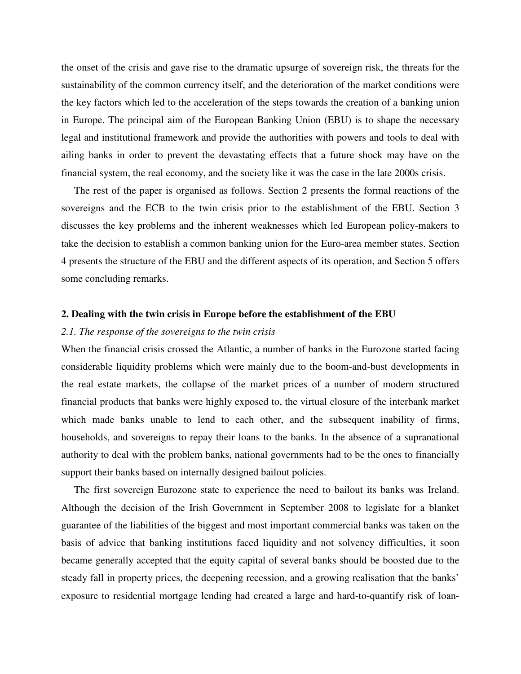the onset of the crisis and gave rise to the dramatic upsurge of sovereign risk, the threats for the sustainability of the common currency itself, and the deterioration of the market conditions were the key factors which led to the acceleration of the steps towards the creation of a banking union in Europe. The principal aim of the European Banking Union (EBU) is to shape the necessary legal and institutional framework and provide the authorities with powers and tools to deal with ailing banks in order to prevent the devastating effects that a future shock may have on the financial system, the real economy, and the society like it was the case in the late 2000s crisis.

 The rest of the paper is organised as follows. Section 2 presents the formal reactions of the sovereigns and the ECB to the twin crisis prior to the establishment of the EBU. Section 3 discusses the key problems and the inherent weaknesses which led European policy-makers to take the decision to establish a common banking union for the Euro-area member states. Section 4 presents the structure of the EBU and the different aspects of its operation, and Section 5 offers some concluding remarks.

#### **2. Dealing with the twin crisis in Europe before the establishment of the EBU**

#### *2.1. The response of the sovereigns to the twin crisis*

When the financial crisis crossed the Atlantic, a number of banks in the Eurozone started facing considerable liquidity problems which were mainly due to the boom-and-bust developments in the real estate markets, the collapse of the market prices of a number of modern structured financial products that banks were highly exposed to, the virtual closure of the interbank market which made banks unable to lend to each other, and the subsequent inability of firms, households, and sovereigns to repay their loans to the banks. In the absence of a supranational authority to deal with the problem banks, national governments had to be the ones to financially support their banks based on internally designed bailout policies.

 The first sovereign Eurozone state to experience the need to bailout its banks was Ireland. Although the decision of the Irish Government in September 2008 to legislate for a blanket guarantee of the liabilities of the biggest and most important commercial banks was taken on the basis of advice that banking institutions faced liquidity and not solvency difficulties, it soon became generally accepted that the equity capital of several banks should be boosted due to the steady fall in property prices, the deepening recession, and a growing realisation that the banks' exposure to residential mortgage lending had created a large and hard-to-quantify risk of loan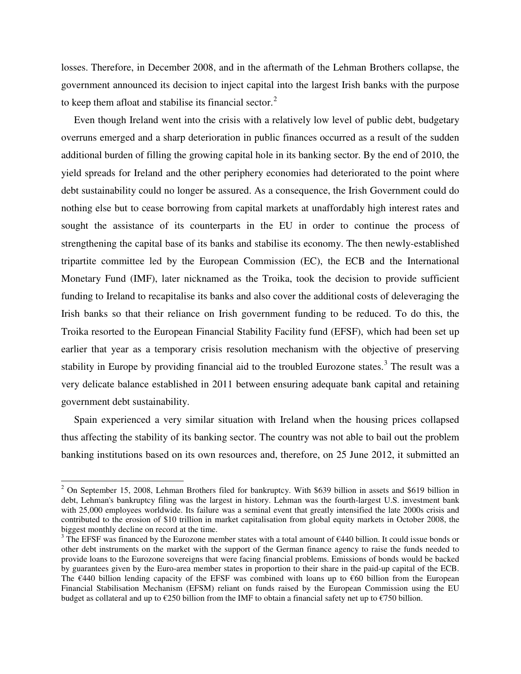losses. Therefore, in December 2008, and in the aftermath of the Lehman Brothers collapse, the government announced its decision to inject capital into the largest Irish banks with the purpose to keep them afloat and stabilise its financial sector. $2$ 

 Even though Ireland went into the crisis with a relatively low level of public debt, budgetary overruns emerged and a sharp deterioration in public finances occurred as a result of the sudden additional burden of filling the growing capital hole in its banking sector. By the end of 2010, the yield spreads for Ireland and the other periphery economies had deteriorated to the point where debt sustainability could no longer be assured. As a consequence, the Irish Government could do nothing else but to cease borrowing from capital markets at unaffordably high interest rates and sought the assistance of its counterparts in the EU in order to continue the process of strengthening the capital base of its banks and stabilise its economy. The then newly-established tripartite committee led by the European Commission (EC), the ECB and the International Monetary Fund (IMF), later nicknamed as the Troika, took the decision to provide sufficient funding to Ireland to recapitalise its banks and also cover the additional costs of deleveraging the Irish banks so that their reliance on Irish government funding to be reduced. To do this, the Troika resorted to the European Financial Stability Facility fund (EFSF), which had been set up earlier that year as a temporary crisis resolution mechanism with the objective of preserving stability in Europe by providing financial aid to the troubled Eurozone states.<sup>[3](#page-4-1)</sup> The result was a very delicate balance established in 2011 between ensuring adequate bank capital and retaining government debt sustainability.

 Spain experienced a very similar situation with Ireland when the housing prices collapsed thus affecting the stability of its banking sector. The country was not able to bail out the problem banking institutions based on its own resources and, therefore, on 25 June 2012, it submitted an

-

<span id="page-4-0"></span> $2$  On September 15, 2008, Lehman Brothers filed for bankruptcy. With \$639 billion in assets and \$619 billion in debt, Lehman's bankruptcy filing was the largest in history. Lehman was the fourth-largest U.S. investment bank with 25,000 employees worldwide. Its failure was a seminal event that greatly intensified the late 2000s crisis and contributed to the erosion of \$10 trillion in market capitalisation from global equity markets in October 2008, the biggest monthly decline on record at the time.

<span id="page-4-1"></span><sup>&</sup>lt;sup>3</sup> The EFSF was financed by the Eurozone member states with a total amount of  $\epsilon$ 440 billion. It could issue bonds or other debt instruments on the market with the support of the German finance agency to raise the funds needed to provide loans to the Eurozone sovereigns that were facing financial problems. Emissions of bonds would be backed by guarantees given by the Euro-area member states in proportion to their share in the paid-up capital of the ECB. The  $\epsilon$ 440 billion lending capacity of the EFSF was combined with loans up to  $\epsilon$ 60 billion from the European Financial Stabilisation Mechanism (EFSM) reliant on funds raised by the European Commission using the EU budget as collateral and up to  $\epsilon$ 250 billion from the IMF to obtain a financial safety net up to  $\epsilon$ 750 billion.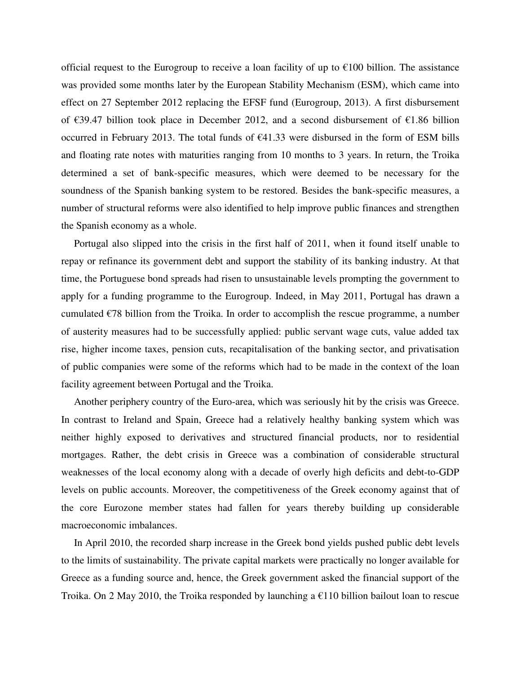official request to the Eurogroup to receive a loan facility of up to  $\epsilon$ 100 billion. The assistance was provided some months later by the European Stability Mechanism (ESM), which came into effect on 27 September 2012 replacing the EFSF fund (Eurogroup, 2013). A first disbursement of €39.47 billion took place in December 2012, and a second disbursement of €1.86 billion occurred in February 2013. The total funds of  $\epsilon$ 41.33 were disbursed in the form of ESM bills and floating rate notes with maturities ranging from 10 months to 3 years. In return, the Troika determined a set of bank-specific measures, which were deemed to be necessary for the soundness of the Spanish banking system to be restored. Besides the bank-specific measures, a number of structural reforms were also identified to help improve public finances and strengthen the Spanish economy as a whole.

 Portugal also slipped into the crisis in the first half of 2011, when it found itself unable to repay or refinance its government debt and support the stability of its banking industry. At that time, the Portuguese bond spreads had risen to unsustainable levels prompting the government to apply for a funding programme to the Eurogroup. Indeed, in May 2011, Portugal has drawn a cumulated  $\epsilon$ 78 billion from the Troika. In order to accomplish the rescue programme, a number of austerity measures had to be successfully applied: public servant wage cuts, value added tax rise, higher income taxes, pension cuts, recapitalisation of the banking sector, and privatisation of public companies were some of the reforms which had to be made in the context of the loan facility agreement between Portugal and the Troika.

 Another periphery country of the Euro-area, which was seriously hit by the crisis was Greece. In contrast to Ireland and Spain, Greece had a relatively healthy banking system which was neither highly exposed to derivatives and structured financial products, nor to residential mortgages. Rather, the debt crisis in Greece was a combination of considerable structural weaknesses of the local economy along with a decade of overly high deficits and debt-to-GDP levels on public accounts. Moreover, the competitiveness of the Greek economy against that of the core Eurozone member states had fallen for years thereby building up considerable macroeconomic imbalances.

 In April 2010, the recorded sharp increase in the Greek bond yields pushed public debt levels to the limits of sustainability. The private capital markets were practically no longer available for Greece as a funding source and, hence, the Greek government asked the financial support of the Troika. On 2 May 2010, the Troika responded by launching a  $\epsilon$ 110 billion bailout loan to rescue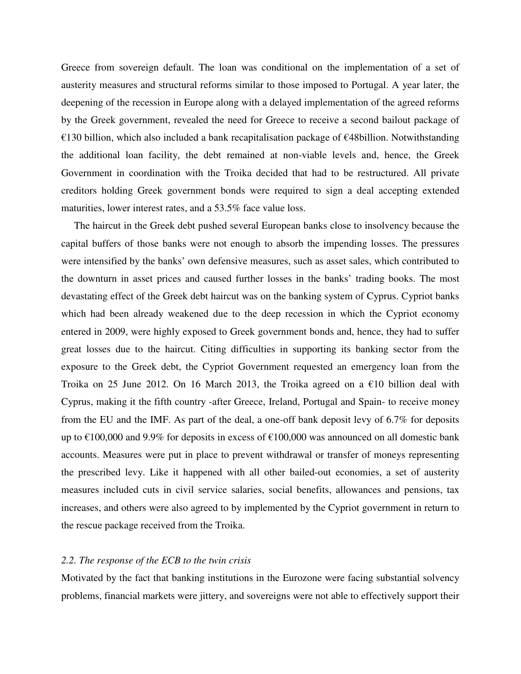Greece from sovereign default. The loan was conditional on the implementation of a set of austerity measures and structural reforms similar to those imposed to Portugal. A year later, the deepening of the recession in Europe along with a delayed implementation of the agreed reforms by the Greek government, revealed the need for Greece to receive a second bailout package of €130 billion, which also included a bank recapitalisation package of €48billion. Notwithstanding the additional loan facility, the debt remained at non-viable levels and, hence, the Greek Government in coordination with the Troika decided that had to be restructured. All private creditors holding Greek government bonds were required to sign a deal accepting extended maturities, lower interest rates, and a 53.5% face value loss.

 The haircut in the Greek debt pushed several European banks close to insolvency because the capital buffers of those banks were not enough to absorb the impending losses. The pressures were intensified by the banks' own defensive measures, such as asset sales, which contributed to the downturn in asset prices and caused further losses in the banks' trading books. The most devastating effect of the Greek debt haircut was on the banking system of Cyprus. Cypriot banks which had been already weakened due to the deep recession in which the Cypriot economy entered in 2009, were highly exposed to Greek government bonds and, hence, they had to suffer great losses due to the haircut. Citing difficulties in supporting its banking sector from the exposure to the Greek debt, the Cypriot Government requested an emergency loan from the Troika on 25 June 2012. On 16 March 2013, the Troika agreed on a  $\epsilon$ 10 billion deal with Cyprus, making it the fifth country -after Greece, Ireland, Portugal and Spain- to receive money from the EU and the IMF. As part of the deal, a one-off bank deposit levy of 6.7% for deposits up to  $\text{\textsterling}100,000$  and 9.9% for deposits in excess of  $\text{\textsterling}100,000$  was announced on all domestic bank accounts. Measures were put in place to prevent withdrawal or transfer of moneys representing the prescribed levy. Like it happened with all other bailed-out economies, a set of austerity measures included cuts in civil service salaries, social benefits, allowances and pensions, tax increases, and others were also agreed to by implemented by the Cypriot government in return to the rescue package received from the Troika.

#### *2.2. The response of the ECB to the twin crisis*

Motivated by the fact that banking institutions in the Eurozone were facing substantial solvency problems, financial markets were jittery, and sovereigns were not able to effectively support their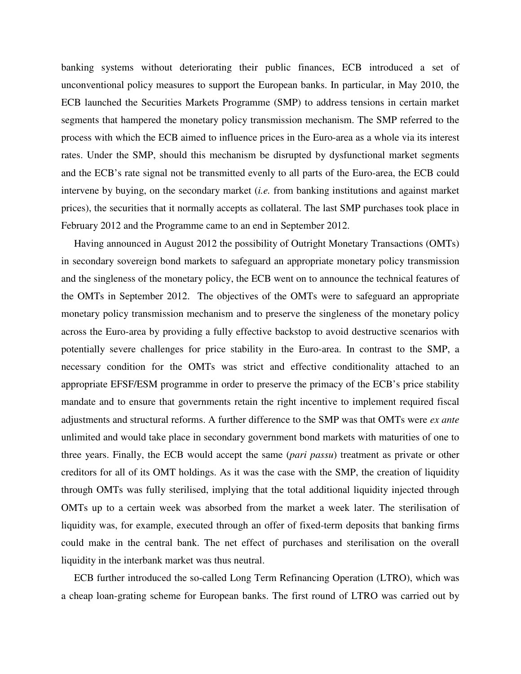banking systems without deteriorating their public finances, ECB introduced a set of unconventional policy measures to support the European banks. In particular, in May 2010, the ECB launched the Securities Markets Programme (SMP) to address tensions in certain market segments that hampered the monetary policy transmission mechanism. The SMP referred to the process with which the ECB aimed to influence prices in the Euro-area as a whole via its interest rates. Under the SMP, should this mechanism be disrupted by dysfunctional market segments and the ECB's rate signal not be transmitted evenly to all parts of the Euro-area, the ECB could intervene by buying, on the secondary market (*i.e.* from banking institutions and against market prices), the securities that it normally accepts as collateral. The last SMP purchases took place in February 2012 and the Programme came to an end in September 2012.

 Having announced in August 2012 the possibility of Outright Monetary Transactions (OMTs) in secondary sovereign bond markets to safeguard an appropriate monetary policy transmission and the singleness of the monetary policy, the ECB went on to announce the technical features of the OMTs in September 2012. The objectives of the OMTs were to safeguard an appropriate monetary policy transmission mechanism and to preserve the singleness of the monetary policy across the Euro-area by providing a fully effective backstop to avoid destructive scenarios with potentially severe challenges for price stability in the Euro-area. In contrast to the SMP, a necessary condition for the OMTs was strict and effective conditionality attached to an appropriate EFSF/ESM programme in order to preserve the primacy of the ECB's price stability mandate and to ensure that governments retain the right incentive to implement required fiscal adjustments and structural reforms. A further difference to the SMP was that OMTs were *ex ante* unlimited and would take place in secondary government bond markets with maturities of one to three years. Finally, the ECB would accept the same (*pari passu*) treatment as private or other creditors for all of its OMT holdings. As it was the case with the SMP, the creation of liquidity through OMTs was fully sterilised, implying that the total additional liquidity injected through OMTs up to a certain week was absorbed from the market a week later. The sterilisation of liquidity was, for example, executed through an offer of fixed-term deposits that banking firms could make in the central bank. The net effect of purchases and sterilisation on the overall liquidity in the interbank market was thus neutral.

 ECB further introduced the so-called Long Term Refinancing Operation (LTRO), which was a cheap loan-grating scheme for European banks. The first round of LTRO was carried out by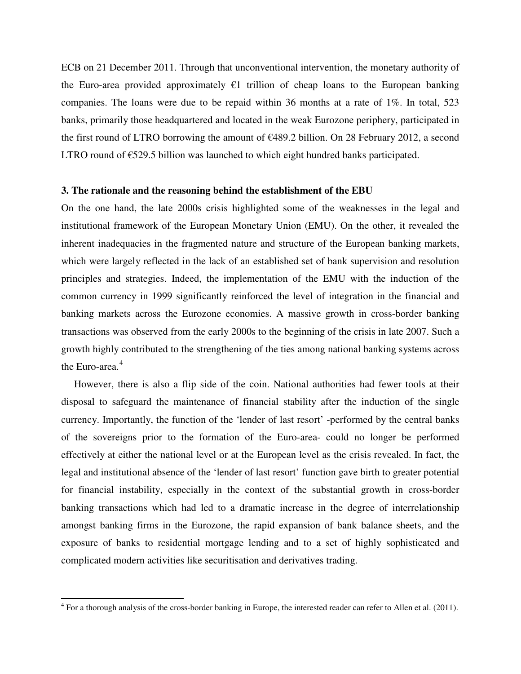ECB on 21 December 2011. Through that unconventional intervention, the monetary authority of the Euro-area provided approximately  $E1$  trillion of cheap loans to the European banking companies. The loans were due to be repaid within 36 months at a rate of 1%. In total, 523 banks, primarily those headquartered and located in the weak Eurozone periphery, participated in the first round of LTRO borrowing the amount of €489.2 billion. On 28 February 2012, a second LTRO round of  $\epsilon$ 529.5 billion was launched to which eight hundred banks participated.

#### **3. The rationale and the reasoning behind the establishment of the EBU**

On the one hand, the late 2000s crisis highlighted some of the weaknesses in the legal and institutional framework of the European Monetary Union (EMU). On the other, it revealed the inherent inadequacies in the fragmented nature and structure of the European banking markets, which were largely reflected in the lack of an established set of bank supervision and resolution principles and strategies. Indeed, the implementation of the EMU with the induction of the common currency in 1999 significantly reinforced the level of integration in the financial and banking markets across the Eurozone economies. A massive growth in cross-border banking transactions was observed from the early 2000s to the beginning of the crisis in late 2007. Such a growth highly contributed to the strengthening of the ties among national banking systems across the Euro-area. [4](#page-8-0)

 However, there is also a flip side of the coin. National authorities had fewer tools at their disposal to safeguard the maintenance of financial stability after the induction of the single currency. Importantly, the function of the 'lender of last resort' -performed by the central banks of the sovereigns prior to the formation of the Euro-area- could no longer be performed effectively at either the national level or at the European level as the crisis revealed. In fact, the legal and institutional absence of the 'lender of last resort' function gave birth to greater potential for financial instability, especially in the context of the substantial growth in cross-border banking transactions which had led to a dramatic increase in the degree of interrelationship amongst banking firms in the Eurozone, the rapid expansion of bank balance sheets, and the exposure of banks to residential mortgage lending and to a set of highly sophisticated and complicated modern activities like securitisation and derivatives trading.

<span id="page-8-0"></span><sup>4&</sup>lt;br><sup>4</sup> For a thorough analysis of the cross-border banking in Europe, the interested reader can refer to Allen et al. (2011).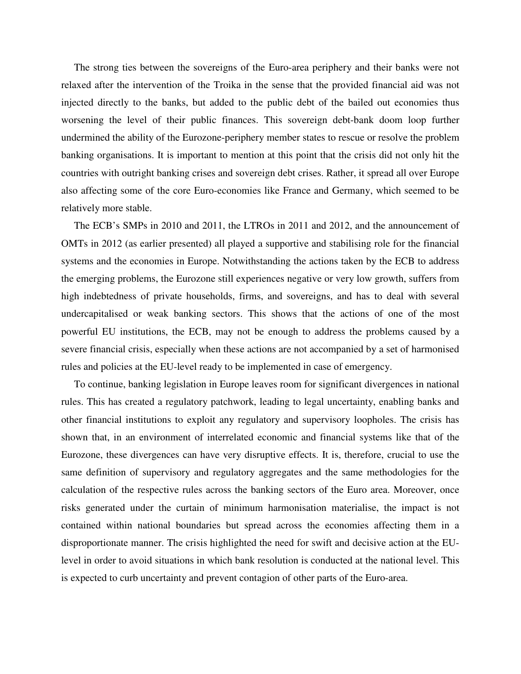The strong ties between the sovereigns of the Euro-area periphery and their banks were not relaxed after the intervention of the Troika in the sense that the provided financial aid was not injected directly to the banks, but added to the public debt of the bailed out economies thus worsening the level of their public finances. This sovereign debt-bank doom loop further undermined the ability of the Eurozone-periphery member states to rescue or resolve the problem banking organisations. It is important to mention at this point that the crisis did not only hit the countries with outright banking crises and sovereign debt crises. Rather, it spread all over Europe also affecting some of the core Euro-economies like France and Germany, which seemed to be relatively more stable.

 The ECB's SMPs in 2010 and 2011, the LTROs in 2011 and 2012, and the announcement of OMTs in 2012 (as earlier presented) all played a supportive and stabilising role for the financial systems and the economies in Europe. Notwithstanding the actions taken by the ECB to address the emerging problems, the Eurozone still experiences negative or very low growth, suffers from high indebtedness of private households, firms, and sovereigns, and has to deal with several undercapitalised or weak banking sectors. This shows that the actions of one of the most powerful EU institutions, the ECB, may not be enough to address the problems caused by a severe financial crisis, especially when these actions are not accompanied by a set of harmonised rules and policies at the EU-level ready to be implemented in case of emergency.

 To continue, banking legislation in Europe leaves room for significant divergences in national rules. This has created a regulatory patchwork, leading to legal uncertainty, enabling banks and other financial institutions to exploit any regulatory and supervisory loopholes. The crisis has shown that, in an environment of interrelated economic and financial systems like that of the Eurozone, these divergences can have very disruptive effects. It is, therefore, crucial to use the same definition of supervisory and regulatory aggregates and the same methodologies for the calculation of the respective rules across the banking sectors of the Euro area. Moreover, once risks generated under the curtain of minimum harmonisation materialise, the impact is not contained within national boundaries but spread across the economies affecting them in a disproportionate manner. The crisis highlighted the need for swift and decisive action at the EUlevel in order to avoid situations in which bank resolution is conducted at the national level. This is expected to curb uncertainty and prevent contagion of other parts of the Euro-area.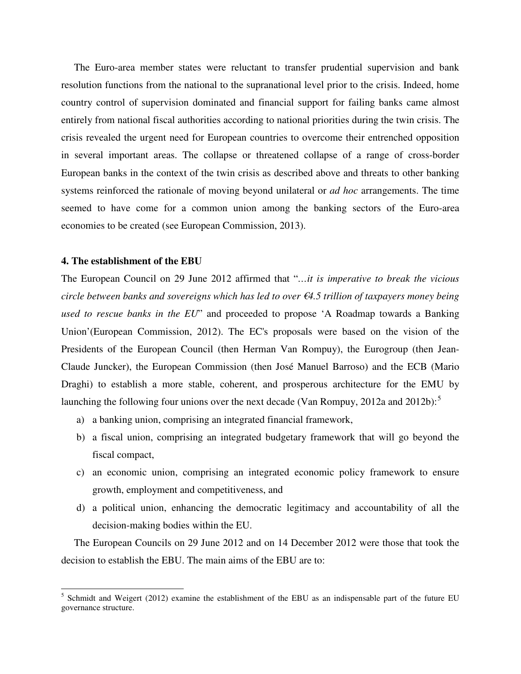The Euro-area member states were reluctant to transfer prudential supervision and bank resolution functions from the national to the supranational level prior to the crisis. Indeed, home country control of supervision dominated and financial support for failing banks came almost entirely from national fiscal authorities according to national priorities during the twin crisis. The crisis revealed the urgent need for European countries to overcome their entrenched opposition in several important areas. The collapse or threatened collapse of a range of cross-border European banks in the context of the twin crisis as described above and threats to other banking systems reinforced the rationale of moving beyond unilateral or *ad hoc* arrangements. The time seemed to have come for a common union among the banking sectors of the Euro-area economies to be created (see European Commission, 2013).

#### **4. The establishment of the EBU**

 $\overline{a}$ 

The European Council on 29 June 2012 affirmed that "*…it is imperative to break the vicious circle between banks and sovereigns which has led to over €4.5 trillion of taxpayers money being used to rescue banks in the EU*" and proceeded to propose 'A Roadmap towards a Banking Union'(European Commission, 2012). The EC's proposals were based on the vision of the Presidents of the European Council (then Herman Van Rompuy), the Eurogroup (then Jean-Claude Juncker), the European Commission (then José Manuel Barroso) and the ECB (Mario Draghi) to establish a more stable, coherent, and prosperous architecture for the EMU by launching the following four unions over the next decade (Van Rompuy, 2012a and 2012b):<sup>[5](#page-10-0)</sup>

- a) a banking union, comprising an integrated financial framework,
- b) a fiscal union, comprising an integrated budgetary framework that will go beyond the fiscal compact,
- c) an economic union, comprising an integrated economic policy framework to ensure growth, employment and competitiveness, and
- d) a political union, enhancing the democratic legitimacy and accountability of all the decision-making bodies within the EU.

 The European Councils on 29 June 2012 and on 14 December 2012 were those that took the decision to establish the EBU. The main aims of the EBU are to:

<span id="page-10-0"></span> $<sup>5</sup>$  Schmidt and Weigert (2012) examine the establishment of the EBU as an indispensable part of the future EU</sup> governance structure.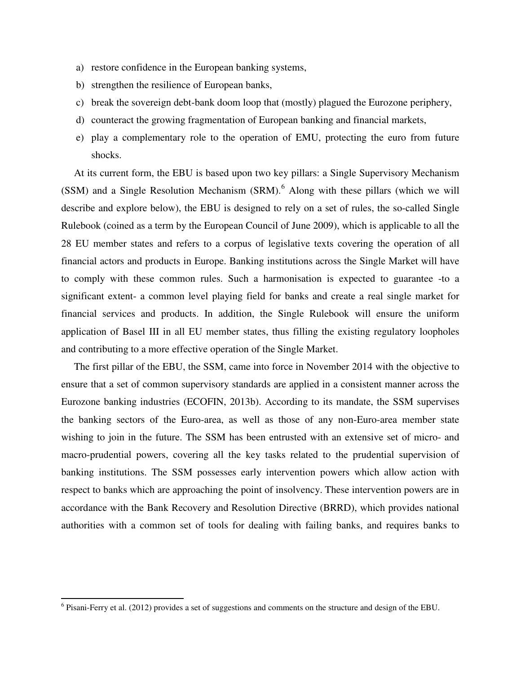- a) restore confidence in the European banking systems,
- b) strengthen the resilience of European banks,
- c) break the sovereign debt-bank doom loop that (mostly) plagued the Eurozone periphery,
- d) counteract the growing fragmentation of European banking and financial markets,
- e) play a complementary role to the operation of EMU, protecting the euro from future shocks.

 At its current form, the EBU is based upon two key pillars: a Single Supervisory Mechanism (SSM) and a Single Resolution Mechanism (SRM). [6](#page-11-0) Along with these pillars (which we will describe and explore below), the EBU is designed to rely on a set of rules, the so-called Single Rulebook (coined as a term by the European Council of June 2009), which is applicable to all the 28 EU member states and refers to a corpus of legislative texts covering the operation of all financial actors and products in Europe. Banking institutions across the Single Market will have to comply with these common rules. Such a harmonisation is expected to guarantee -to a significant extent- a common level playing field for banks and create a real single market for financial services and products. In addition, the Single Rulebook will ensure the uniform application of Basel III in all EU member states, thus filling the existing regulatory loopholes and contributing to a more effective operation of the Single Market.

 The first pillar of the EBU, the SSM, came into force in November 2014 with the objective to ensure that a set of common supervisory standards are applied in a consistent manner across the Eurozone banking industries (ECOFIN, 2013b). According to its mandate, the SSM supervises the banking sectors of the Euro-area, as well as those of any non-Euro-area member state wishing to join in the future. The SSM has been entrusted with an extensive set of micro- and macro-prudential powers, covering all the key tasks related to the prudential supervision of banking institutions. The SSM possesses early intervention powers which allow action with respect to banks which are approaching the point of insolvency. These intervention powers are in accordance with the Bank Recovery and Resolution Directive (BRRD), which provides national authorities with a common set of tools for dealing with failing banks, and requires banks to

<span id="page-11-0"></span><sup>&</sup>lt;sup>6</sup> Pisani-Ferry et al. (2012) provides a set of suggestions and comments on the structure and design of the EBU.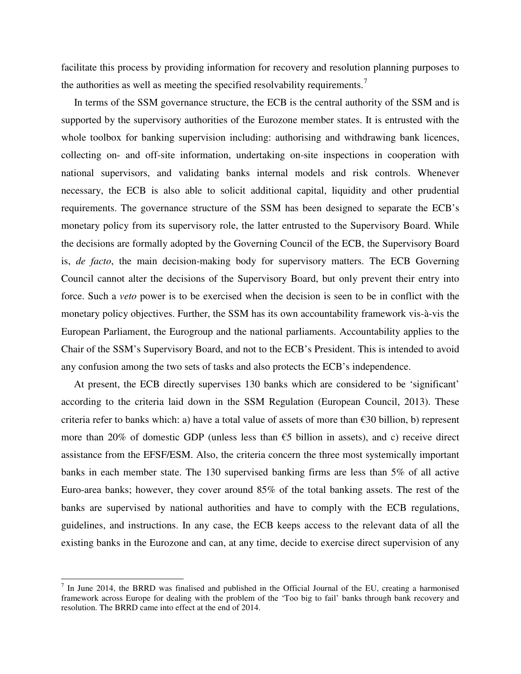facilitate this process by providing information for recovery and resolution planning purposes to the authorities as well as meeting the specified resolvability requirements.<sup>[7](#page-12-0)</sup>

 In terms of the SSM governance structure, the ECB is the central authority of the SSM and is supported by the supervisory authorities of the Eurozone member states. It is entrusted with the whole toolbox for banking supervision including: authorising and withdrawing bank licences, collecting on- and off-site information, undertaking on-site inspections in cooperation with national supervisors, and validating banks internal models and risk controls. Whenever necessary, the ECB is also able to solicit additional capital, liquidity and other prudential requirements. The governance structure of the SSM has been designed to separate the ECB's monetary policy from its supervisory role, the latter entrusted to the Supervisory Board. While the decisions are formally adopted by the Governing Council of the ECB, the Supervisory Board is, *de facto*, the main decision-making body for supervisory matters. The ECB Governing Council cannot alter the decisions of the Supervisory Board, but only prevent their entry into force. Such a *veto* power is to be exercised when the decision is seen to be in conflict with the monetary policy objectives. Further, the SSM has its own accountability framework vis-à-vis the European Parliament, the Eurogroup and the national parliaments. Accountability applies to the Chair of the SSM's Supervisory Board, and not to the ECB's President. This is intended to avoid any confusion among the two sets of tasks and also protects the ECB's independence.

 At present, the ECB directly supervises 130 banks which are considered to be 'significant' according to the criteria laid down in the SSM Regulation (European Council, 2013). These criteria refer to banks which: a) have a total value of assets of more than  $\epsilon$ 30 billion, b) represent more than 20% of domestic GDP (unless less than  $\epsilon$ 5 billion in assets), and c) receive direct assistance from the EFSF/ESM. Also, the criteria concern the three most systemically important banks in each member state. The 130 supervised banking firms are less than 5% of all active Euro-area banks; however, they cover around 85% of the total banking assets. The rest of the banks are supervised by national authorities and have to comply with the ECB regulations, guidelines, and instructions. In any case, the ECB keeps access to the relevant data of all the existing banks in the Eurozone and can, at any time, decide to exercise direct supervision of any

<u>.</u>

<span id="page-12-0"></span> $<sup>7</sup>$  In June 2014, the BRRD was finalised and published in the Official Journal of the EU, creating a harmonised</sup> framework across Europe for dealing with the problem of the 'Too big to fail' banks through bank recovery and resolution. The BRRD came into effect at the end of 2014.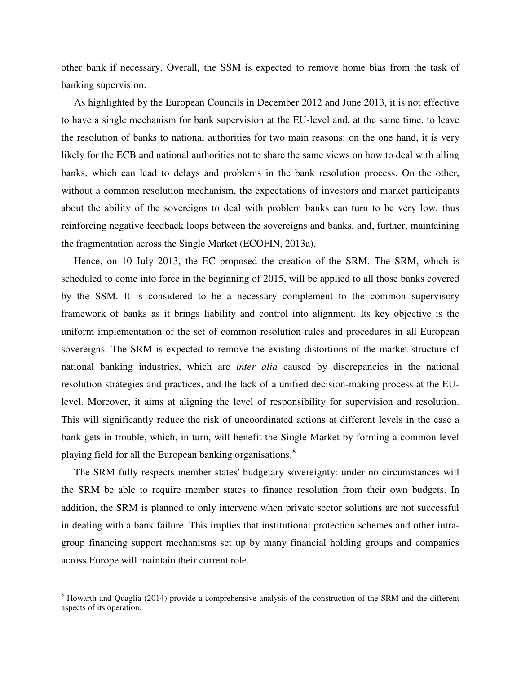other bank if necessary. Overall, the SSM is expected to remove home bias from the task of banking supervision.

 As highlighted by the European Councils in December 2012 and June 2013, it is not effective to have a single mechanism for bank supervision at the EU-level and, at the same time, to leave the resolution of banks to national authorities for two main reasons: on the one hand, it is very likely for the ECB and national authorities not to share the same views on how to deal with ailing banks, which can lead to delays and problems in the bank resolution process. On the other, without a common resolution mechanism, the expectations of investors and market participants about the ability of the sovereigns to deal with problem banks can turn to be very low, thus reinforcing negative feedback loops between the sovereigns and banks, and, further, maintaining the fragmentation across the Single Market (ECOFIN, 2013a).

 Hence, on 10 July 2013, the EC proposed the creation of the SRM. The SRM, which is scheduled to come into force in the beginning of 2015, will be applied to all those banks covered by the SSM. It is considered to be a necessary complement to the common supervisory framework of banks as it brings liability and control into alignment. Its key objective is the uniform implementation of the set of common resolution rules and procedures in all European sovereigns. The SRM is expected to remove the existing distortions of the market structure of national banking industries, which are *inter alia* caused by discrepancies in the national resolution strategies and practices, and the lack of a unified decision-making process at the EUlevel. Moreover, it aims at aligning the level of responsibility for supervision and resolution. This will significantly reduce the risk of uncoordinated actions at different levels in the case a bank gets in trouble, which, in turn, will benefit the Single Market by forming a common level playing field for all the European banking organisations.<sup>[8](#page-13-0)</sup>

 The SRM fully respects member states' budgetary sovereignty: under no circumstances will the SRM be able to require member states to finance resolution from their own budgets. In addition, the SRM is planned to only intervene when private sector solutions are not successful in dealing with a bank failure. This implies that institutional protection schemes and other intragroup financing support mechanisms set up by many financial holding groups and companies across Europe will maintain their current role.

 $\overline{a}$ 

<span id="page-13-0"></span><sup>8</sup> Howarth and Quaglia (2014) provide a comprehensive analysis of the construction of the SRM and the different aspects of its operation.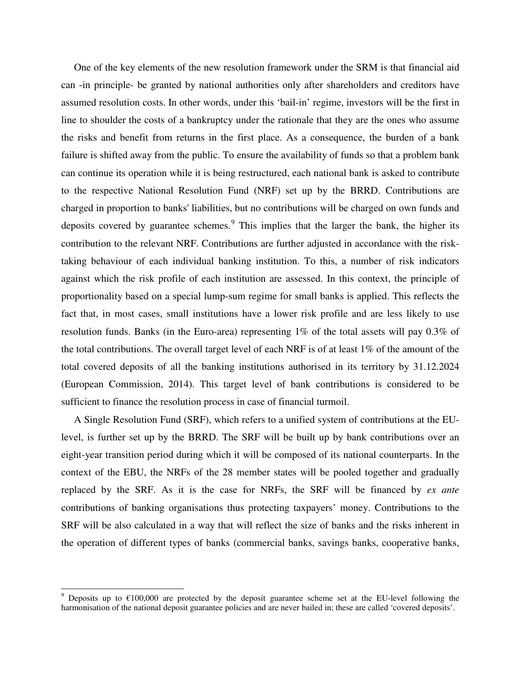One of the key elements of the new resolution framework under the SRM is that financial aid can -in principle- be granted by national authorities only after shareholders and creditors have assumed resolution costs. In other words, under this 'bail-in' regime, investors will be the first in line to shoulder the costs of a bankruptcy under the rationale that they are the ones who assume the risks and benefit from returns in the first place. As a consequence, the burden of a bank failure is shifted away from the public. To ensure the availability of funds so that a problem bank can continue its operation while it is being restructured, each national bank is asked to contribute to the respective National Resolution Fund (NRF) set up by the BRRD. Contributions are charged in proportion to banks' liabilities, but no contributions will be charged on own funds and deposits covered by guarantee schemes.<sup>[9](#page-14-0)</sup> This implies that the larger the bank, the higher its contribution to the relevant NRF. Contributions are further adjusted in accordance with the risktaking behaviour of each individual banking institution. To this, a number of risk indicators against which the risk profile of each institution are assessed. In this context, the principle of proportionality based on a special lump-sum regime for small banks is applied. This reflects the fact that, in most cases, small institutions have a lower risk profile and are less likely to use resolution funds. Banks (in the Euro-area) representing 1% of the total assets will pay 0.3% of the total contributions. The overall target level of each NRF is of at least 1% of the amount of the total covered deposits of all the banking institutions authorised in its territory by 31.12.2024 (European Commission, 2014). This target level of bank contributions is considered to be sufficient to finance the resolution process in case of financial turmoil.

 A Single Resolution Fund (SRF), which refers to a unified system of contributions at the EUlevel, is further set up by the BRRD. The SRF will be built up by bank contributions over an eight-year transition period during which it will be composed of its national counterparts. In the context of the EBU, the NRFs of the 28 member states will be pooled together and gradually replaced by the SRF. As it is the case for NRFs, the SRF will be financed by *ex ante* contributions of banking organisations thus protecting taxpayers' money. Contributions to the SRF will be also calculated in a way that will reflect the size of banks and the risks inherent in the operation of different types of banks (commercial banks, savings banks, cooperative banks,

-

<span id="page-14-0"></span><sup>&</sup>lt;sup>9</sup> Deposits up to  $\epsilon$ 100,000 are protected by the deposit guarantee scheme set at the EU-level following the harmonisation of the national deposit guarantee policies and are never bailed in; these are called 'covered deposits'.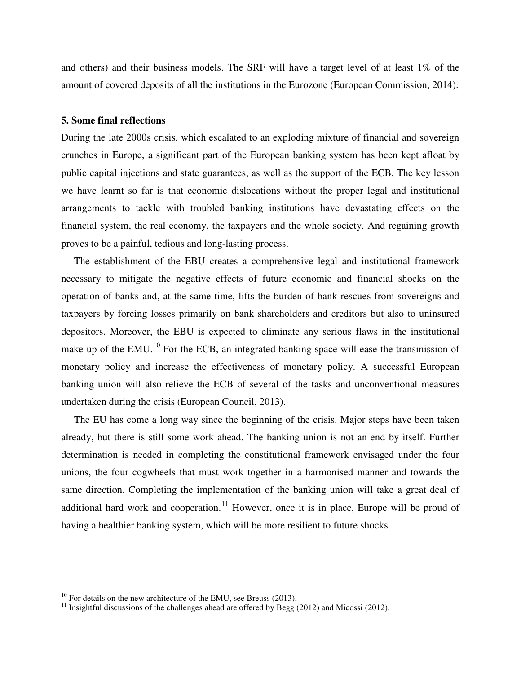and others) and their business models. The SRF will have a target level of at least 1% of the amount of covered deposits of all the institutions in the Eurozone (European Commission, 2014).

#### **5. Some final reflections**

During the late 2000s crisis, which escalated to an exploding mixture of financial and sovereign crunches in Europe, a significant part of the European banking system has been kept afloat by public capital injections and state guarantees, as well as the support of the ECB. The key lesson we have learnt so far is that economic dislocations without the proper legal and institutional arrangements to tackle with troubled banking institutions have devastating effects on the financial system, the real economy, the taxpayers and the whole society. And regaining growth proves to be a painful, tedious and long-lasting process.

 The establishment of the EBU creates a comprehensive legal and institutional framework necessary to mitigate the negative effects of future economic and financial shocks on the operation of banks and, at the same time, lifts the burden of bank rescues from sovereigns and taxpayers by forcing losses primarily on bank shareholders and creditors but also to uninsured depositors. Moreover, the EBU is expected to eliminate any serious flaws in the institutional make-up of the EMU.<sup>[10](#page-15-0)</sup> For the ECB, an integrated banking space will ease the transmission of monetary policy and increase the effectiveness of monetary policy. A successful European banking union will also relieve the ECB of several of the tasks and unconventional measures undertaken during the crisis (European Council, 2013).

 The EU has come a long way since the beginning of the crisis. Major steps have been taken already, but there is still some work ahead. The banking union is not an end by itself. Further determination is needed in completing the constitutional framework envisaged under the four unions, the four cogwheels that must work together in a harmonised manner and towards the same direction. Completing the implementation of the banking union will take a great deal of additional hard work and cooperation.<sup>[11](#page-15-1)</sup> However, once it is in place, Europe will be proud of having a healthier banking system, which will be more resilient to future shocks.

 $\overline{a}$ 

<span id="page-15-0"></span> $10$  For details on the new architecture of the EMU, see Breuss (2013).

<span id="page-15-1"></span><sup>&</sup>lt;sup>11</sup> Insightful discussions of the challenges ahead are offered by Begg (2012) and Micossi (2012).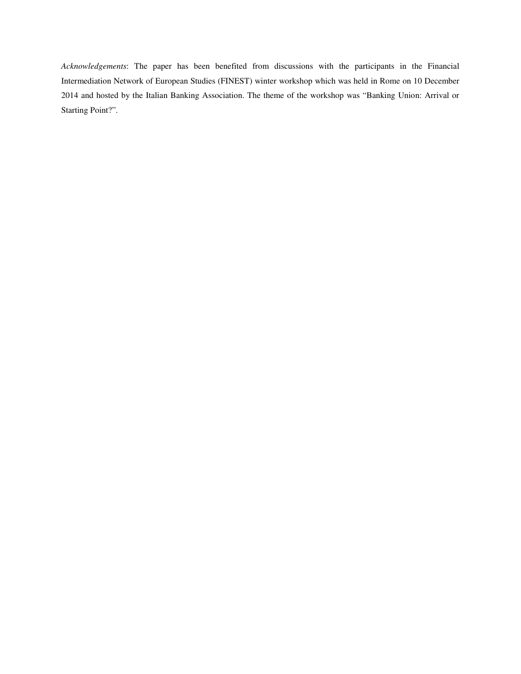*Acknowledgements*: The paper has been benefited from discussions with the participants in the Financial Intermediation Network of European Studies (FINEST) winter workshop which was held in Rome on 10 December 2014 and hosted by the Italian Banking Association. The theme of the workshop was "Banking Union: Arrival or Starting Point?".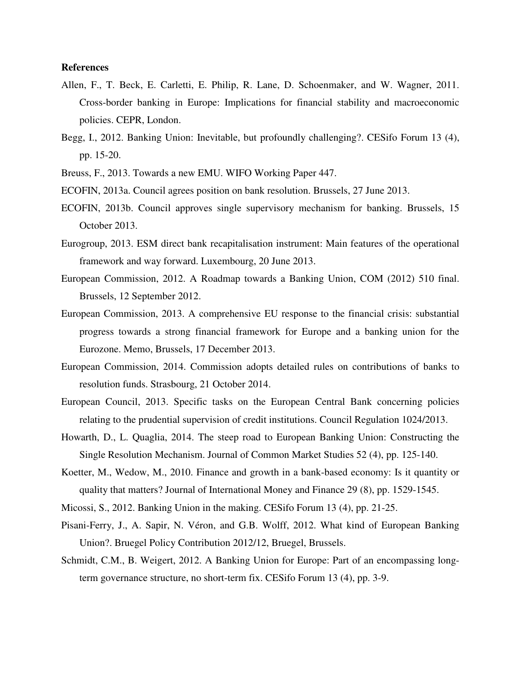### **References**

- Allen, F., T. Beck, E. Carletti, E. Philip, R. Lane, D. Schoenmaker, and W. Wagner, 2011. Cross-border banking in Europe: Implications for financial stability and macroeconomic policies. CEPR, London.
- Begg, I., 2012. Banking Union: Inevitable, but profoundly challenging?. CESifo Forum 13 (4), pp. 15-20.
- Breuss, F., 2013. Towards a new EMU. WIFO Working Paper 447.
- ECOFIN, 2013a. Council agrees position on bank resolution. Brussels, 27 June 2013.
- ECOFIN, 2013b. Council approves single supervisory mechanism for banking. Brussels, 15 October 2013.
- Eurogroup, 2013. ESM direct bank recapitalisation instrument: Main features of the operational framework and way forward. Luxembourg, 20 June 2013.
- European Commission, 2012. A Roadmap towards a Banking Union, COM (2012) 510 final. Brussels, 12 September 2012.
- European Commission, 2013. A comprehensive EU response to the financial crisis: substantial progress towards a strong financial framework for Europe and a banking union for the Eurozone. Memo, Brussels, 17 December 2013.
- European Commission, 2014. Commission adopts detailed rules on contributions of banks to resolution funds. Strasbourg, 21 October 2014.
- European Council, 2013. Specific tasks on the European Central Bank concerning policies relating to the prudential supervision of credit institutions. Council Regulation 1024/2013.
- Howarth, D., L. Quaglia, 2014. The steep road to European Banking Union: Constructing the Single Resolution Mechanism. Journal of Common Market Studies 52 (4), pp. 125-140.
- Koetter, M., Wedow, M., 2010. Finance and growth in a bank-based economy: Is it quantity or quality that matters? Journal of International Money and Finance 29 (8), pp. 1529-1545.
- Micossi, S., 2012. Banking Union in the making. CESifo Forum 13 (4), pp. 21-25.
- Pisani-Ferry, J., A. Sapir, N. Véron, and G.B. Wolff, 2012. What kind of European Banking Union?. Bruegel Policy Contribution 2012/12, Bruegel, Brussels.
- Schmidt, C.M., B. Weigert, 2012. A Banking Union for Europe: Part of an encompassing longterm governance structure, no short-term fix. CESifo Forum 13 (4), pp. 3-9.